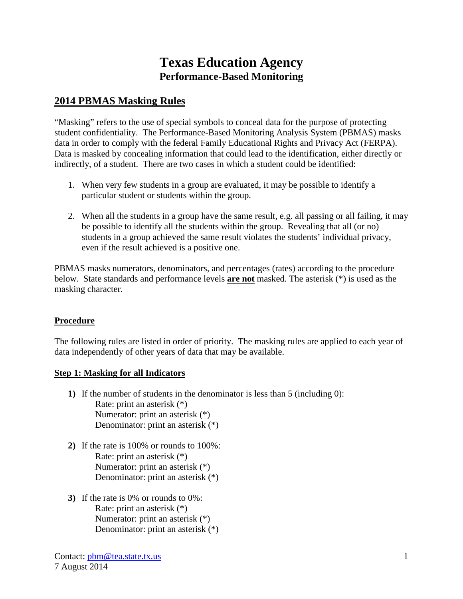# **Texas Education Agency Performance-Based Monitoring**

## **2014 PBMAS Masking Rules**

"Masking" refers to the use of special symbols to conceal data for the purpose of protecting student confidentiality. The Performance-Based Monitoring Analysis System (PBMAS) masks data in order to comply with the federal Family Educational Rights and Privacy Act (FERPA). Data is masked by concealing information that could lead to the identification, either directly or indirectly, of a student. There are two cases in which a student could be identified:

- 1. When very few students in a group are evaluated, it may be possible to identify a particular student or students within the group.
- 2. When all the students in a group have the same result, e.g. all passing or all failing, it may be possible to identify all the students within the group. Revealing that all (or no) students in a group achieved the same result violates the students' individual privacy, even if the result achieved is a positive one.

PBMAS masks numerators, denominators, and percentages (rates) according to the procedure below. State standards and performance levels **are not** masked. The asterisk (\*) is used as the masking character.

### **Procedure**

The following rules are listed in order of priority. The masking rules are applied to each year of data independently of other years of data that may be available.

### **Step 1: Masking for all Indicators**

- **1)** If the number of students in the denominator is less than 5 (including 0): Rate: print an asterisk (\*) Numerator: print an asterisk (\*) Denominator: print an asterisk (\*)
- **2)** If the rate is 100% or rounds to 100%: Rate: print an asterisk (\*) Numerator: print an asterisk (\*) Denominator: print an asterisk (\*)
- **3)** If the rate is 0% or rounds to 0%: Rate: print an asterisk (\*) Numerator: print an asterisk (\*) Denominator: print an asterisk (\*)